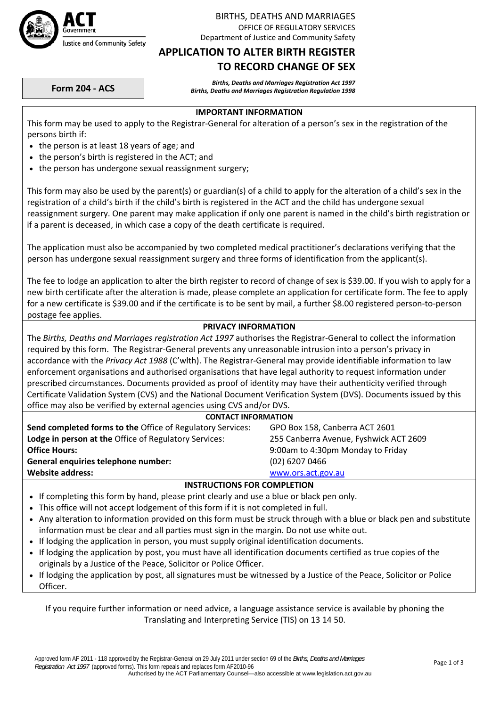

### BIRTHS, DEATHS AND MARRIAGES OFFICE OF REGULATORY SERVICES Department of Justice and Community Safety

### **APPLICATION TO ALTER BIRTH REGISTER TO RECORD CHANGE OF SEX**

Births, Deaths and Marriages Registration Act 1997<br>Births, Deaths and Marriages Registration Regulation 1998 Births, Deaths and Marriages Registration Regulation

### **IMPORTANT INFORMATION**

This form may be used to apply to the Registrar‐General for alteration of a person's sex in the registration of the persons birth if:

- the person is at least 18 years of age; and
- the person's birth is registered in the ACT; and
- the person has undergone sexual reassignment surgery;

This form may also be used by the parent(s) or guardian(s) of a child to apply for the alteration of a child's sex in the registration of a child's birth if the child's birth is registered in the ACT and the child has undergone sexual reassignment surgery. One parent may make application if only one parent is named in the child's birth registration or if a parent is deceased, in which case a copy of the death certificate is required.

The application must also be accompanied by two completed medical practitioner's declarations verifying that the person has undergone sexual reassignment surgery and three forms of identification from the applicant(s).

The fee to lodge an application to alter the birth register to record of change of sex is \$39.00. If you wish to apply for a new birth certificate after the alteration is made, please complete an application for certificate form. The fee to apply for a new certificate is \$39.00 and if the certificate is to be sent by mail, a further \$8.00 registered person-to-person postage fee applies.

### **PRIVACY INFORMATION**

The *Births, Deaths and Marriages registration Act 1997* authorises the Registrar‐General to collect the information required by this form. The Registrar‐General prevents any unreasonable intrusion into a person's privacy in accordance with the *Privacy Act 1988* (C'wlth). The Registrar‐General may provide identifiable information to law enforcement organisations and authorised organisations that have legal authority to request information under prescribed circumstances. Documents provided as proof of identity may have their authenticity verified through Certificate Validation System (CVS) and the National Document Verification System (DVS). Documents issued by this office may also be verified by external agencies using CVS and/or DVS.

| <b>CONTACT INFORMATION</b> |
|----------------------------|
|----------------------------|

| <b>Send completed forms to the Office of Regulatory Services:</b><br>GPO Box 158, Canberra ACT 2601    |  |
|--------------------------------------------------------------------------------------------------------|--|
| <b>Lodge in person at the Office of Regulatory Services:</b><br>255 Canberra Avenue, Fyshwick ACT 2609 |  |
| 9:00am to 4:30pm Monday to Friday<br><b>Office Hours:</b>                                              |  |
| $(02)$ 6207 0466<br>General enquiries telephone number:                                                |  |
| Website address:<br>www.ors.act.gov.au                                                                 |  |

### **INSTRUCTIONS FOR COMPLETION**

- If completing this form by hand, please print clearly and use a blue or black pen only.
- This office will not accept lodgement of this form if it is not completed in full.
- Any alteration to information provided on this form must be struck through with a blue or black pen and substitute information must be clear and all parties must sign in the margin. Do not use white out.
- If lodging the application in person, you must supply original identification documents.
- If lodging the application by post, you must have all identification documents certified as true copies of the originals by a Justice of the Peace, Solicitor or Police Officer.
- If lodging the application by post, all signatures must be witnessed by a Justice of the Peace, Solicitor or Police Officer.

If you require further information or need advice, a language assistance service is available by phoning the Translating and Interpreting Service (TIS) on 13 14 50.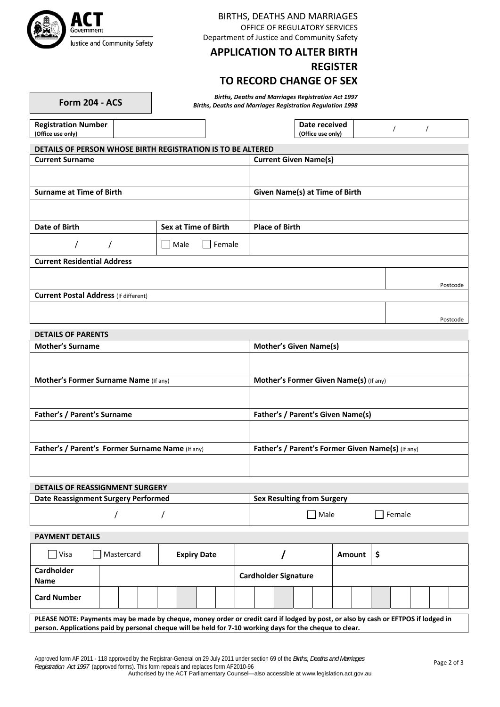

### BIRTHS, DEATHS AND MARRIAGES OFFICE OF REGULATORY SERVICES Department of Justice and Community Safety

# **APPLICATION TO ALTER BIRTH**

## **REGISTER**

## **TO RECORD CHANGE OF SEX**

Births, Deaths and Marriages Registration Act 1997<br>Births, Deaths and Marriages Registration Regulation 1998 Births, Deaths and Marriages Registration Regulation

| <b>Form 204 - AC</b> |  |  |
|----------------------|--|--|
|----------------------|--|--|

| <b>Registration Number</b>                                  | Date received     |  |  |
|-------------------------------------------------------------|-------------------|--|--|
| (Office use only)                                           | (Office use only) |  |  |
|                                                             |                   |  |  |
| DETAILS OF PERSON WHOSE BIRTH REGISTRATION IS TO BE ALTERED |                   |  |  |

| <b>Current Surname</b>                       |                          | <b>Current Given Name(s)</b>   |          |  |  |  |
|----------------------------------------------|--------------------------|--------------------------------|----------|--|--|--|
|                                              |                          |                                |          |  |  |  |
| <b>Surname at Time of Birth</b>              |                          | Given Name(s) at Time of Birth |          |  |  |  |
|                                              |                          |                                |          |  |  |  |
| Date of Birth                                | Sex at Time of Birth     | <b>Place of Birth</b>          |          |  |  |  |
|                                              | Female<br>Male<br>$\Box$ |                                |          |  |  |  |
| <b>Current Residential Address</b>           |                          |                                |          |  |  |  |
|                                              |                          |                                | Postcode |  |  |  |
| <b>Current Postal Address (If different)</b> |                          |                                |          |  |  |  |
|                                              |                          |                                |          |  |  |  |
|                                              |                          |                                | Postcode |  |  |  |

### **DETAILS OF PARENTS**

| <b>Mother's Surname</b>                          | <b>Mother's Given Name(s)</b>                     |
|--------------------------------------------------|---------------------------------------------------|
|                                                  |                                                   |
| <b>Mother's Former Surname Name (If any)</b>     | Mother's Former Given Name(s) (If any)            |
|                                                  |                                                   |
| Father's / Parent's Surname                      | <b>Father's / Parent's Given Name(s)</b>          |
|                                                  |                                                   |
| Father's / Parent's Former Surname Name (If any) | Father's / Parent's Former Given Name(s) (If any) |
|                                                  |                                                   |

## **DETAILS OF REASSIGNMENT SURGERY Date Reassignment Surgery Performed Sex Resulting from Surgery**  $\begin{array}{ccc} \begin{array}{ccc} \end{array} \end{array}$   $\begin{array}{ccc} \end{array}$   $\begin{array}{ccc} \end{array}$  Male  $\begin{array}{ccc} \end{array}$  Female

**PAYMENT DETAILS**

| Visa                      | <b>Expiry Date</b><br>Mastercard |  |  |  |  |                             |  |  |  | Amount |  |  |  |  |  |  |  |  |
|---------------------------|----------------------------------|--|--|--|--|-----------------------------|--|--|--|--------|--|--|--|--|--|--|--|--|
| <b>Cardholder</b><br>Name |                                  |  |  |  |  | <b>Cardholder Signature</b> |  |  |  |        |  |  |  |  |  |  |  |  |
| <b>Card Number</b>        |                                  |  |  |  |  |                             |  |  |  |        |  |  |  |  |  |  |  |  |

PLEASE NOTE: Payments may be made by cheque, money order or credit card if lodged by post, or also by cash or EFTPOS if lodged in person. Applications paid by personal cheque will be held for 7-10 working days for the cheque to clear.